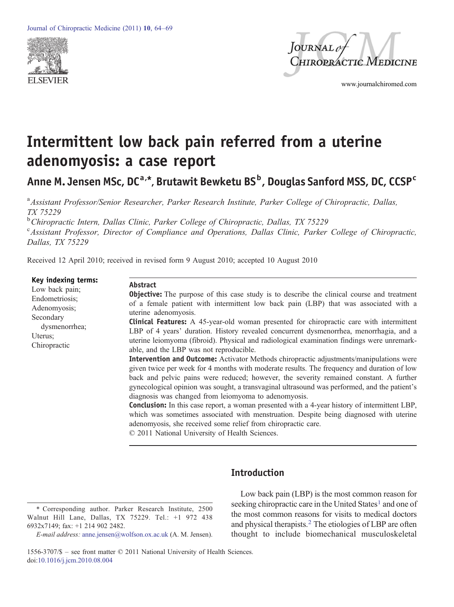



www.journalchiromed.com

# Intermittent low back pain referred from a uterine adenomyosis: a case report

Anne M. Jensen MSc, DC<sup>a,\*</sup>, Brutawit Bewketu BS<sup>b</sup>, Douglas Sanford MSS, DC, CCSP<sup>c</sup>

<sup>a</sup> Assistant Professor/Senior Researcher, Parker Research Institute, Parker College of Chiropractic, Dallas, TX 75229

<sup>b</sup> Chiropractic Intern, Dallas Clinic, Parker College of Chiropractic, Dallas, TX 75229 <sup>c</sup> Assistant Professor, Director of Compliance and Operations, Dallas Clinic, Parker College of Chiropractic, Dallas, TX 75229

Received 12 April 2010; received in revised form 9 August 2010; accepted 10 August 2010

#### Key indexing terms:

| <b>Key Macking terms:</b><br>Low back pain;<br>Endometriosis;<br>Adenomyosis;<br>Secondary<br>dysmenorrhea;<br>Uterus:<br>Chiropractic | Abstract<br><b>Objective:</b> The purpose of this case study is to describe the clinical course and treatment<br>of a female patient with intermittent low back pain (LBP) that was associated with a<br>uterine adenomyosis.<br><b>Clinical Features:</b> A 45-year-old woman presented for chiropractic care with intermittent<br>LBP of 4 years' duration. History revealed concurrent dysmenorrhea, menorrhagia, and a<br>uterine leiomyoma (fibroid). Physical and radiological examination findings were unremark-<br>able, and the LBP was not reproducible.                                                                                                                                               |
|----------------------------------------------------------------------------------------------------------------------------------------|-------------------------------------------------------------------------------------------------------------------------------------------------------------------------------------------------------------------------------------------------------------------------------------------------------------------------------------------------------------------------------------------------------------------------------------------------------------------------------------------------------------------------------------------------------------------------------------------------------------------------------------------------------------------------------------------------------------------|
|                                                                                                                                        | <b>Intervention and Outcome:</b> Activator Methods chiropractic adjustments/manipulations were<br>given twice per week for 4 months with moderate results. The frequency and duration of low<br>back and pelvic pains were reduced; however, the severity remained constant. A further<br>gynecological opinion was sought, a transvaginal ultrasound was performed, and the patient's<br>diagnosis was changed from leiomyoma to adenomyosis.<br><b>Conclusion:</b> In this case report, a woman presented with a 4-year history of intermittent LBP,<br>which was sometimes associated with menstruation. Despite being diagnosed with uterine<br>adenomyosis, she received some relief from chiropractic care. |

© 2011 National University of Health Sciences.

# Introduction

<sup>⁎</sup> Corresponding author. Parker Research Institute, 2500 Walnut Hill Lane, Dallas, TX 75229. Tel.: +1 972 438 6932x7149; fax: +1 214 902 2482.

E-mail address: [anne.jensen@wolfson.ox.ac.uk](mailto:anne.jensen@wolfson.ox.ac.uk) (A. M. Jensen).

Low back pain (LBP) is the most common reason for [s](#page-4-0)eeking chiropractic care in the United States<sup>[1](#page-4-0)</sup> and one of the most common reasons for visits to medical doctors and physical therapists.<sup>[2](#page-4-0)</sup> The etiologies of LBP are often thought to include biomechanical musculoskeletal

<sup>1556-3707/\$</sup> – see front matter © 2011 National University of Health Sciences. doi:[10.1016/j.jcm.2010.08.004](http://dx.doi.org/10.1016/j.jcm.2010.08.004)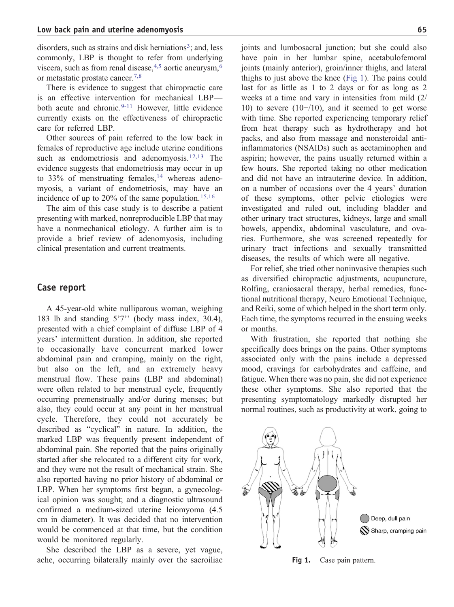di[s](#page-4-0)orders, such as strains and disk herniations<sup>[3](#page-4-0)</sup>; and, less commonly, LBP is thought to refer from underlying viscera[,](#page-4-0) such as from renal disease,  $4.5$  aortic aneurysm,  $6$ or metastatic prostate cancer[.](#page-4-0)[7,8](#page-4-0)

There is evidence to suggest that chiropractic care is an effective intervention for mechanical LBP— both acute and chronic.<sup>[9-11](#page-4-0)</sup> However, little evidence currently exists on the effectiveness of chiropractic care for referred LBP.

Other sources of pain referred to the low back in females of reproductive age include uterine conditions such as endometriosis and adenomyosis[.](#page-5-0)<sup>[12,13](#page-5-0)</sup> The evidence suggests that endometriosis may occur in up to  $33\%$  of menstruating females[,](#page-5-0) <sup>[14](#page-5-0)</sup> whereas adenomyosis, a variant of endometriosis, may have an incidence of up to  $20\%$  of the same population.<sup>[15,16](#page-5-0)</sup>

The aim of this case study is to describe a patient presenting with marked, nonreproducible LBP that may have a nonmechanical etiology. A further aim is to provide a brief review of adenomyosis, including clinical presentation and current treatments.

#### Case report

A 45-year-old white nulliparous woman, weighing 183 lb and standing 5'7'' (body mass index, 30.4), presented with a chief complaint of diffuse LBP of 4 years' intermittent duration. In addition, she reported to occasionally have concurrent marked lower abdominal pain and cramping, mainly on the right, but also on the left, and an extremely heavy menstrual flow. These pains (LBP and abdominal) were often related to her menstrual cycle, frequently occurring premenstrually and/or during menses; but also, they could occur at any point in her menstrual cycle. Therefore, they could not accurately be described as "cyclical" in nature. In addition, the marked LBP was frequently present independent of abdominal pain. She reported that the pains originally started after she relocated to a different city for work, and they were not the result of mechanical strain. She also reported having no prior history of abdominal or LBP. When her symptoms first began, a gynecological opinion was sought; and a diagnostic ultrasound confirmed a medium-sized uterine leiomyoma (4.5 cm in diameter). It was decided that no intervention would be commenced at that time, but the condition would be monitored regularly.

She described the LBP as a severe, yet vague, ache, occurring bilaterally mainly over the sacroiliac joints and lumbosacral junction; but she could also have pain in her lumbar spine, acetabulofemoral joints (mainly anterior), groin/inner thighs, and lateral thighs to just above the knee (Fig 1). The pains could last for as little as 1 to 2 days or for as long as 2 weeks at a time and vary in intensities from mild (2/ 10) to severe  $(10+/10)$ , and it seemed to get worse with time. She reported experiencing temporary relief from heat therapy such as hydrotherapy and hot packs, and also from massage and nonsteroidal antiinflammatories (NSAIDs) such as acetaminophen and aspirin; however, the pains usually returned within a few hours. She reported taking no other medication and did not have an intrauterine device. In addition, on a number of occasions over the 4 years' duration of these symptoms, other pelvic etiologies were investigated and ruled out, including bladder and other urinary tract structures, kidneys, large and small bowels, appendix, abdominal vasculature, and ovaries. Furthermore, she was screened repeatedly for urinary tract infections and sexually transmitted diseases, the results of which were all negative.

For relief, she tried other noninvasive therapies such as diversified chiropractic adjustments, acupuncture, Rolfing, craniosacral therapy, herbal remedies, functional nutritional therapy, Neuro Emotional Technique, and Reiki, some of which helped in the short term only. Each time, the symptoms recurred in the ensuing weeks or months.

With frustration, she reported that nothing she specifically does brings on the pains. Other symptoms associated only with the pains include a depressed mood, cravings for carbohydrates and caffeine, and fatigue. When there was no pain, she did not experience these other symptoms. She also reported that the presenting symptomatology markedly disrupted her normal routines, such as productivity at work, going to



Fig 1. Case pain pattern.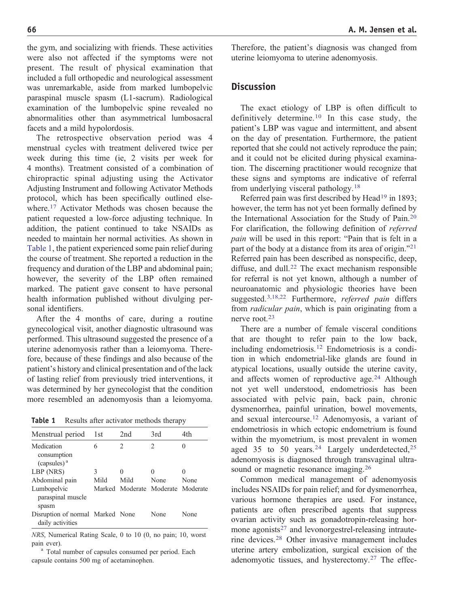the gym, and socializing with friends. These activities were also not affected if the symptoms were not present. The result of physical examination that included a full orthopedic and neurological assessment was unremarkable, aside from marked lumbopelvic paraspinal muscle spasm (L1-sacrum). Radiological examination of the lumbopelvic spine revealed no abnormalities other than asymmetrical lumbosacral facets and a mild hypolordosis.

The retrospective observation period was 4 menstrual cycles with treatment delivered twice per week during this time (ie, 2 visits per week for 4 months). Treatment consisted of a combination of chiropractic spinal adjusting using the Activator Adjusting Instrument and following Activator Methods protocol, which has been specifically outlined elsewhere.[17](#page-5-0) Activator Methods was chosen because the patient requested a low-force adjusting technique. In addition, the patient continued to take NSAIDs as needed to maintain her normal activities. As shown in Table 1, the patient experienced some pain relief during the course of treatment. She reported a reduction in the frequency and duration of the LBP and abdominal pain; however, the severity of the LBP often remained marked. The patient gave consent to have personal health information published without divulging personal identifiers.

After the 4 months of care, during a routine gynecological visit, another diagnostic ultrasound was performed. This ultrasound suggested the presence of a uterine adenomyosis rather than a leiomyoma. Therefore, because of these findings and also because of the patient's history and clinical presentation and of the lack of lasting relief from previously tried interventions, it was determined by her gynecologist that the condition more resembled an adenomyosis than a leiomyoma.

**Table 1** Results after activator methods therapy

| Menstrual period                                     | 1st       | 2nd                               | 3rd       | 4th                  |
|------------------------------------------------------|-----------|-----------------------------------|-----------|----------------------|
| Medication<br>consumption<br>$(capsules)^a$          | 6         | $\mathfrak{D}$                    | 2         |                      |
| LBP (NRS)<br>Abdominal pain                          | 3<br>Mild | $\Omega$<br>Mild                  | 0<br>None | $\mathbf{0}$<br>None |
| Lumbopelvic<br>paraspinal muscle<br>spasm            |           | Marked Moderate Moderate Moderate |           |                      |
| Disruption of normal Marked None<br>daily activities |           |                                   | None      | None                 |

NRS, Numerical Rating Scale, 0 to 10 (0, no pain; 10, worst pain ever).<br><sup>a</sup> Total number of capsules consumed per period. Each

capsule contains 500 mg of acetaminophen.

Therefore, the patient's diagnosis was changed from uterine leiomyoma to uterine adenomyosis.

### **Discussion**

The exact etiology of LBP is often difficult to definitively determine.[10](#page-4-0) In this case study, the patient's LBP was vague and intermittent, and absent on the day of presentation. Furthermore, the patient reported that she could not actively reproduce the pain; and it could not be elicited during physical examination. The discerning practitioner would recognize that these signs and symptoms are indicative of referral from underlying visceral pathology.[18](#page-5-0)

Referred pain was first described by Head<sup>[19](#page-5-0)</sup> in 1893; however, the term has not yet been formally defined by the International Association for the Study of Pain[.](#page-5-0)[20](#page-5-0) For clarification, the following definition of referred pain will be used in this report: "Pain that is felt in a part of the body at a distance from its area of origin.["](#page-5-0)[21](#page-5-0) Referred pain has been described as nonspecific, deep, diffuse, and dull.<sup>[22](#page-5-0)</sup> The exact mechanism responsible for referral is not yet known, although a number of neuroanatomic and physiologic theories have been suggested.<sup>[3,18,22](#page-4-0)</sup> Furthermore, *referred pain* differs from *radicular pain*, which is pain originating from a nerve root.[23](#page-5-0)

There are a number of female visceral conditions that are thought to refer pain to the low back, including endometriosis[.](#page-5-0)[12](#page-5-0) Endometriosis is a condition in which endometrial-like glands are found in atypical locations, usually outside the uterine cavity, and affects women of reproductive age.<sup>[24](#page-5-0)</sup> Although not yet well understood, endometriosis has been associated with pelvic pain, back pain, chronic dysmenorrhea, painful urination, bowel movements, and sexual intercourse.[12](#page-5-0) Adenomyosis, a variant of endometriosis in which ectopic endometrium is found within the myometrium, is most prevalent in women aged 35 to 50 years.<sup>[24](#page-5-0)</sup> Largely underdetected,<sup>[25](#page-5-0)</sup> adenomyosis is diagnosed through transvaginal ultra-sound or magnetic resonance imaging.<sup>[26](#page-5-0)</sup>

Common medical management of adenomyosis includes NSAIDs for pain relief; and for dysmenorrhea, various hormone therapies are used. For instance, patients are often prescribed agents that suppress ovarian activity such as gonadotropin-releasing hor-mone agonists<sup>[27](#page-5-0)</sup> and levonorgestrel-releasing intrauterine devices.[28](#page-5-0) Other invasive management includes uterine artery embolization, surgical excision of the adenomyotic tissues, and hysterectomy.[27](#page-5-0) The effec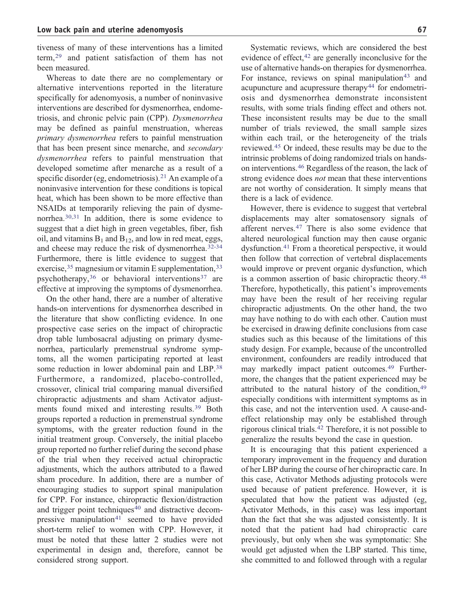tiveness of many of these interventions has a limited term,[29](#page-5-0) and patient satisfaction of them has not been measured.

Whereas to date there are no complementary or alternative interventions reported in the literature specifically for adenomyosis, a number of noninvasive interventions are described for dysmenorrhea, endometriosis, and chronic pelvic pain (CPP). Dysmenorrhea may be defined as painful menstruation, whereas primary dysmenorrhea refers to painful menstruation that has been present since menarche, and secondary dysmenorrhea refers to painful menstruation that developed sometime after menarche as a result of a specific disorder (eg, endometriosis)[.](#page-5-0)<sup>[21](#page-5-0)</sup> An example of a noninvasive intervention for these conditions is topical heat, which has been shown to be more effective than NSAIDs at temporarily relieving the pain of dysmenorrhea.[30,31](#page-5-0) In addition, there is some evidence to suggest that a diet high in green vegetables, fiber, fish oil, and vitamins  $B_1$  and  $B_{12}$ , and low in red meat, eggs, and cheese may reduce the risk of dysmenorrhea.[32-34](#page-5-0) Furthermore, there is little evidence to suggest that exercise,<sup>[35](#page-5-0)</sup> magnesium or vitamin E supplementation,<sup>[33](#page-5-0)</sup> psychotherapy,  $36$  or behavioral interventions  $37$  are effective at improving the symptoms of dysmenorrhea.

On the other hand, there are a number of alterative hands-on interventions for dysmenorrhea described in the literature that show conflicting evidence. In one prospective case series on the impact of chiropractic drop table lumbosacral adjusting on primary dysmenorrhea, particularly premenstrual syndrome symptoms, all the women participating reported at least some reduction in lower abdominal pain and LBP.<sup>[38](#page-5-0)</sup> Furthermore, a randomized, placebo-controlled, crossover, clinical trial comparing manual diversified chiropractic adjustments and sham Activator adjustments found mixed and interesting results.[39](#page-5-0) Both groups reported a reduction in premenstrual syndrome symptoms, with the greater reduction found in the initial treatment group. Conversely, the initial placebo group reported no further relief during the second phase of the trial when they received actual chiropractic adjustments, which the authors attributed to a flawed sham procedure. In addition, there are a number of encouraging studies to support spinal manipulation for CPP. For instance, chiropractic flexion/distraction and trigger point techniques<sup>[40](#page-5-0)</sup> and distractive decom-pressive manipulation<sup>[41](#page-5-0)</sup> seemed to have provided short-term relief to women with CPP. However, it must be noted that these latter 2 studies were not experimental in design and, therefore, cannot be considered strong support.

Systematic reviews, which are considered the best evidence of effect, $42$  are generally inconclusive for the use of alternative hands-on therapies for dysmenorrhea. For instance, reviews on spinal manipulation<sup>[43](#page-5-0)</sup> and acupuncture and acupressure therapy<sup>[44](#page-5-0)</sup> for endometriosis and dysmenorrhea demonstrate inconsistent results, with some trials finding effect and others not. These inconsistent results may be due to the small number of trials reviewed, the small sample sizes within each trail, or the heterogeneity of the trials reviewed[.](#page-5-0)[45](#page-5-0) Or indeed, these results may be due to the intrinsic problems of doing randomized trials on handson interventions.[46](#page-5-0) Regardless of the reason, the lack of strong evidence does *not* mean that these interventions are not worthy of consideration. It simply means that there is a lack of evidence.

However, there is evidence to suggest that vertebral displacements may alter somatosensory signals of afferent nerves.[47](#page-5-0) There is also some evidence that altered neurological function may then cause organic dysfunction.[41](#page-5-0) From a theoretical perspective, it would then follow that correction of vertebral displacements would improve or prevent organic dysfunction, which is a common assertion of basic chiropractic theory.[48](#page-5-0) Therefore, hypothetically, this patient's improvements may have been the result of her receiving regular chiropractic adjustments. On the other hand, the two may have nothing to do with each other. Caution must be exercised in drawing definite conclusions from case studies such as this because of the limitations of this study design. For example, because of the uncontrolled environment, confounders are readily introduced that may markedly impact patient outcomes[.](#page-5-0)[49](#page-5-0) Furthermore, the changes that the patient experienced may be attributed to the natural history of the condition, <sup>[49](#page-5-0)</sup> especially conditions with intermittent symptoms as in this case, and not the intervention used. A cause-andeffect relationship may only be established through rigorous clinical trials.[42](#page-5-0) Therefore, it is not possible to generalize the results beyond the case in question.

It is encouraging that this patient experienced a temporary improvement in the frequency and duration of her LBP during the course of her chiropractic care. In this case, Activator Methods adjusting protocols were used because of patient preference. However, it is speculated that how the patient was adjusted (eg, Activator Methods, in this case) was less important than the fact that she was adjusted consistently. It is noted that the patient had had chiropractic care previously, but only when she was symptomatic: She would get adjusted when the LBP started. This time, she committed to and followed through with a regular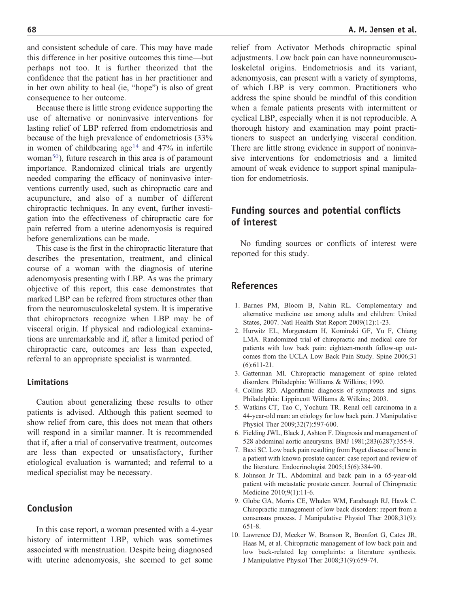<span id="page-4-0"></span>

and consistent schedule of care. This may have made this difference in her positive outcomes this time—but perhaps not too. It is further theorized that the confidence that the patient has in her practitioner and in her own ability to heal (ie, "hope") is also of great consequence to her outcome.

Because there is little strong evidence supporting the use of alternative or noninvasive interventions for lasting relief of LBP referred from endometriosis and because of the high prevalence of endometriosis (33% in wom[e](#page-5-0)n of childbearing age<sup>[14](#page-5-0)</sup> and  $47\%$  in infertile woman<sup>50</sup>), future research in this area is of paramount importance. Randomized clinical trials are urgently needed comparing the efficacy of noninvasive interventions currently used, such as chiropractic care and acupuncture, and also of a number of different chiropractic techniques. In any event, further investigation into the effectiveness of chiropractic care for pain referred from a uterine adenomyosis is required before generalizations can be made.

This case is the first in the chiropractic literature that describes the presentation, treatment, and clinical course of a woman with the diagnosis of uterine adenomyosis presenting with LBP. As was the primary objective of this report, this case demonstrates that marked LBP can be referred from structures other than from the neuromusculoskeletal system. It is imperative that chiropractors recognize when LBP may be of visceral origin. If physical and radiological examinations are unremarkable and if, after a limited period of chiropractic care, outcomes are less than expected, referral to an appropriate specialist is warranted.

#### Limitations

Caution about generalizing these results to other patients is advised. Although this patient seemed to show relief from care, this does not mean that others will respond in a similar manner. It is recommended that if, after a trial of conservative treatment, outcomes are less than expected or unsatisfactory, further etiological evaluation is warranted; and referral to a medical specialist may be necessary.

#### Conclusion

In this case report, a woman presented with a 4-year history of intermittent LBP, which was sometimes associated with menstruation. Despite being diagnosed with uterine adenomyosis, she seemed to get some

relief from Activator Methods chiropractic spinal adjustments. Low back pain can have nonneuromusculoskeletal origins. Endometriosis and its variant, adenomyosis, can present with a variety of symptoms, of which LBP is very common. Practitioners who address the spine should be mindful of this condition when a female patients presents with intermittent or cyclical LBP, especially when it is not reproducible. A thorough history and examination may point practitioners to suspect an underlying visceral condition. There are little strong evidence in support of noninvasive interventions for endometriosis and a limited amount of weak evidence to support spinal manipulation for endometriosis.

## Funding sources and potential conflicts of interest

No funding sources or conflicts of interest were reported for this study.

#### References

- 1. Barnes PM, Bloom B, Nahin RL. Complementary and alternative medicine use among adults and children: United States, 2007. Natl Health Stat Report 2009(12):1-23.
- 2. Hurwitz EL, Morgenstern H, Kominski GF, Yu F, Chiang LMA. Randomized trial of chiropractic and medical care for patients with low back pain: eighteen-month follow-up outcomes from the UCLA Low Back Pain Study. Spine 2006;31 (6):611-21.
- 3. Gatterman MI. Chiropractic management of spine related disorders. Philadephia: Williams & Wilkins; 1990.
- 4. Collins RD. Algorithmic diagnosis of symptoms and signs. Philadelphia: Lippincott Williams & Wilkins; 2003.
- 5. Watkins CT, Tao C, Yochum TR. Renal cell carcinoma in a 44-year-old man: an etiology for low back pain. J Manipulative Physiol Ther 2009;32(7):597-600.
- 6. Fielding JWL, Black J, Ashton F. Diagnosis and management of 528 abdominal aortic aneurysms. BMJ 1981;283(6287):355-9.
- 7. Baxi SC. Low back pain resulting from Paget disease of bone in a patient with known prostate cancer: case report and review of the literature. Endocrinologist 2005;15(6):384-90.
- 8. Johnson Jr TL. Abdominal and back pain in a 65-year-old patient with metastatic prostate cancer. Journal of Chiropractic Medicine 2010;9(1):11-6.
- 9. Globe GA, Morris CE, Whalen WM, Farabaugh RJ, Hawk C. Chiropractic management of low back disorders: report from a consensus process. J Manipulative Physiol Ther 2008;31(9): 651-8.
- 10. Lawrence DJ, Meeker W, Branson R, Bronfort G, Cates JR, Haas M, et al. Chiropractic management of low back pain and low back-related leg complaints: a literature synthesis. J Manipulative Physiol Ther 2008;31(9):659-74.